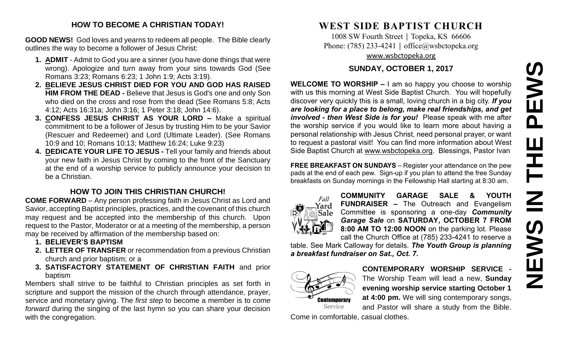# **NEWS IN THE PEWS**PEWS TΗE  $\overline{\mathbf{z}}$ IEWS Z

#### **HOW TO BECOME A CHRISTIAN TODAY!**

**GOOD NEWS!** God loves and yearns to redeem all people. The Bible clearly outlines the way to become a follower of Jesus Christ:

- **1. ADMIT** Admit to God you are a sinner (you have done things that were wrong). Apologize and turn away from your sins towards God (See Romans 3:23; Romans 6:23; 1 John 1:9; Acts 3:19).
- **2. BELIEVE JESUS CHRIST DIED FOR YOU AND GOD HAS RAISED HIM FROM THE DEAD -** Believe that Jesus is God's one and only Son who died on the cross and rose from the dead (See Romans 5:8; Acts 4:12; Acts 16:31a; John 3:16; 1 Peter 3:18; John 14:6).
- **3. CONFESS JESUS CHRIST AS YOUR LORD –** Make a spiritual commitment to be a follower of Jesus by trusting Him to be your Savior (Rescuer and Redeemer) and Lord (Ultimate Leader). (See Romans 10:9 and 10; Romans 10:13; Matthew 16:24; Luke 9:23)
- **4. DEDICATE YOUR LIFE TO JESUS -** Tell your family and friends about your new faith in Jesus Christ by coming to the front of the Sanctuary at the end of a worship service to publicly announce your decision to be a Christian.

#### **HOW TO JOIN THIS CHRISTIAN CHURCH!**

**COME FORWARD** – Any person professing faith in Jesus Christ as Lord and Savior, accepting Baptist principles, practices, and the covenant of this church may request and be accepted into the membership of this church. Upon request to the Pastor, Moderator or at a meeting of the membership, a person may be received by affirmation of the membership based on:

- **1. BELIEVER'S BAPTISM**
- **2. LETTER OF TRANSFER** or recommendation from a previous Christian church and prior baptism; or a
- **3. SATISFACTORY STATEMENT OF CHRISTIAN FAITH** and prior baptism

Members shall strive to be faithful to Christian principles as set forth in scripture and support the mission of the church through attendance, prayer, service and monetary giving. The *first step* to become a member is to *come forward* during the singing of the last hymn so you can share your decision with the congregation.

# **WEST SIDE BAPTIST CHURCH**

1008 SW Fourth Street | Topeka, KS 66606 Phone: (785) 233-4241 │ [office@wsbctopeka.org](mailto:office@wsbctopeka.org) [www.wsbctopeka.org](http://www.wsbctopeka.org/)

#### **SUNDAY, OCTOBER 1, 2017**

**WELCOME TO WORSHIP –** I am so happy you choose to worship with us this morning at West Side Baptist Church. You will hopefully discover very quickly this is a small, loving church in a big city. *If you are looking for a place to belong, make real friendships, and get involved - then West Side is for you!* Please speak with me after the worship service if you would like to learn more about having a personal relationship with Jesus Christ, need personal prayer, or want to request a pastoral visit! You can find more information about West Side Baptist Church at [www.wsbctopeka.org.](http://www.wsbctopeka.org/) Blessings, Pastor Ivan

**FREE BREAKFAST ON SUNDAYS** – Register your attendance on the pew pads at the end of each pew. Sign-up if you plan to attend the free Sunday breakfasts on Sunday mornings in the Fellowship Hall starting at 8:30 am.



**COMMUNITY GARAGE SALE & YOUTH FUNDRAISER –** The Outreach and Evangelism Committee is sponsoring a one-day *Community Garage Sale* on **SATURDAY, OCTOBER 7 FROM 8:00 AM TO 12:00 NOON** on the parking lot. Please call the Church Office at (785) 233-4241 to reserve a

table. See Mark Calloway for details. *The Youth Group is planning a breakfast fundraiser on Sat., Oct. 7.* 



**CONTEMPORARY WORSHIP SERVICE -** The Worship Team will lead a new, **Sunday evening worship service starting October 1 at 4:00 pm.** We will sing contemporary songs, and Pastor will share a study from the Bible.

Come in comfortable, casual clothes.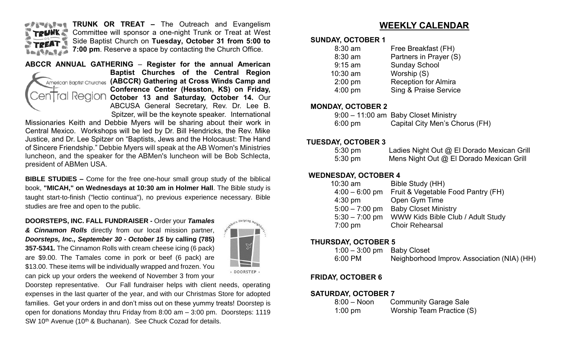

**TRUNK OR TREAT –** The Outreach and Evangelism Committee will sponsor a one-night Trunk or Treat at West Side Baptist Church on **Tuesday, October 31 from 5:00 to 7:00 pm**. Reserve a space by contacting the Church Office.

# Tral Reaion en l

**ABCCR ANNUAL GATHERING** – **Register for the annual American Baptist Churches of the Central Region**  American Baptist Churches (ABCCR) Gathering at Cross Winds Camp and **Conference Center (Hesston, KS) on Friday, October 13 and Saturday, October 14.** Our ABCUSA General Secretary, Rev. Dr. Lee B. Spitzer, will be the keynote speaker. International

Missionaries Keith and Debbie Myers will be sharing about their work in Central Mexico. Workshops will be led by Dr. Bill Hendricks, the Rev. Mike Justice, and Dr. Lee Spitzer on "Baptists, Jews and the Holocaust: The Hand of Sincere Friendship." Debbie Myers will speak at the AB Women's Ministries luncheon, and the speaker for the ABMen's luncheon will be Bob Schlecta, president of ABMen USA.

**BIBLE STUDIES –** Come for the free one-hour small group study of the biblical book, **"MICAH," on Wednesdays at 10:30 am in Holmer Hall**. The Bible study is taught start-to-finish ("lectio continua"), no previous experience necessary. Bible studies are free and open to the public.

**DOORSTEPS, INC. FALL FUNDRAISER -** Order your *Tamales & Cinnamon Rolls* directly from our local mission partner, *Doorsteps, Inc., September 30 - October 15* **by calling (785) 357-5341***.* The Cinnamon Rolls with cream cheese icing (6 pack) are \$9.00. The Tamales come in pork or beef (6 pack) are \$13.00. These items will be individually wrapped and frozen. You can pick up your orders the weekend of November 3 from your



Doorstep representative. Our Fall fundraiser helps with client needs, operating expenses in the last quarter of the year, and with our Christmas Store for adopted families. Get your orders in and don't miss out on these yummy treats! Doorstep is open for donations Monday thru Friday from 8:00 am – 3:00 pm. Doorsteps: 1119 SW 10<sup>th</sup> Avenue (10<sup>th</sup> & Buchanan). See Chuck Cozad for details.

### **WEEKLY CALENDAR**

#### **SUNDAY, OCTOBER 1**

| $8:30$ am | Free Breakfast (FH)              |
|-----------|----------------------------------|
| 8:30 am   | Partners in Prayer (S)           |
| $9:15$ am | <b>Sunday School</b>             |
| 10:30 am  | Worship (S)                      |
| $2:00$ pm | <b>Reception for Almira</b>      |
| $4:00$ pm | <b>Sing &amp; Praise Service</b> |
|           |                                  |

#### **MONDAY, OCTOBER 2**

|                   | 9:00 - 11:00 am Baby Closet Ministry |
|-------------------|--------------------------------------|
| $6:00 \text{ pm}$ | Capital City Men's Chorus (FH)       |

#### **TUESDAY, OCTOBER 3**

| $5:30 \text{ pm}$ | Ladies Night Out @ El Dorado Mexican Grill |
|-------------------|--------------------------------------------|
| $5:30 \text{ pm}$ | Mens Night Out @ El Dorado Mexican Grill   |

#### **WEDNESDAY, OCTOBER 4**

| $10:30$ am        | Bible Study (HH)                   |
|-------------------|------------------------------------|
| $4:00 - 6:00$ pm  | Fruit & Vegetable Food Pantry (FH) |
| $4:30$ pm         | Open Gym Time                      |
| $5:00 - 7:00$ pm  | <b>Baby Closet Ministry</b>        |
| $5:30 - 7:00$ pm  | WWW Kids Bible Club / Adult Study  |
| $7:00 \text{ pm}$ | <b>Choir Rehearsal</b>             |

#### **THURSDAY, OCTOBER 5**

| $1:00-3:00$ pm Baby Closet |                                             |
|----------------------------|---------------------------------------------|
| 6:00 PM                    | Neighborhood Improv. Association (NIA) (HH) |

#### **FRIDAY, OCTOBER 6**

#### **SATURDAY, OCTOBER 7**

| $8:00 - N$ oon | <b>Community Garage Sale</b> |
|----------------|------------------------------|
| $1:00$ pm      | Worship Team Practice (S)    |